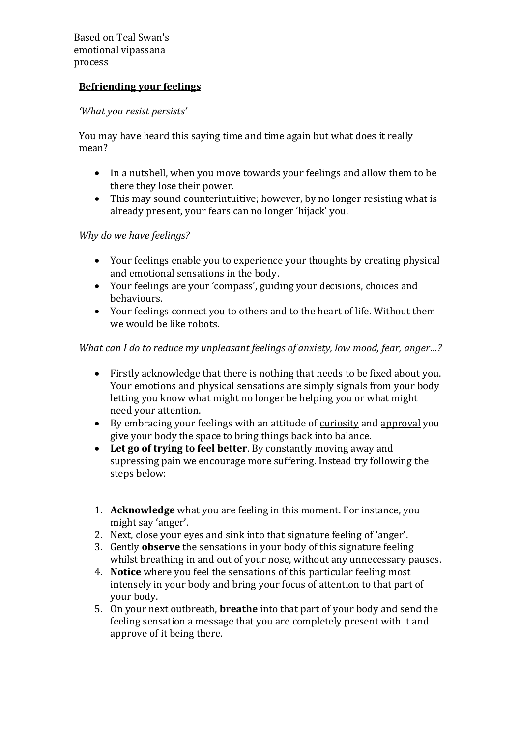Based on Teal Swan's emotional vipassana process

## **Befriending your feelings**

## *'What you resist persists'*

You may have heard this saying time and time again but what does it really mean?

- In a nutshell, when you move towards your feelings and allow them to be there they lose their power.
- This may sound counterintuitive; however, by no longer resisting what is already present, your fears can no longer 'hijack' you.

## *Why do we have feelings?*

- Your feelings enable you to experience your thoughts by creating physical and emotional sensations in the body.
- Your feelings are your 'compass', guiding your decisions, choices and behaviours.
- Your feelings connect you to others and to the heart of life. Without them we would be like robots.

## *What can I do to reduce my unpleasant feelings of anxiety, low mood, fear, anger...?*

- Firstly acknowledge that there is nothing that needs to be fixed about you. Your emotions and physical sensations are simply signals from your body letting you know what might no longer be helping you or what might need your attention.
- By embracing your feelings with an attitude of curiosity and approval you give your body the space to bring things back into balance.
- **Let go of trying to feel better**. By constantly moving away and supressing pain we encourage more suffering. Instead try following the steps below:
- 1. **Acknowledge** what you are feeling in this moment. For instance, you might say 'anger'.
- 2. Next, close your eyes and sink into that signature feeling of 'anger'.
- 3. Gently **observe** the sensations in your body of this signature feeling whilst breathing in and out of your nose, without any unnecessary pauses.
- 4. **Notice** where you feel the sensations of this particular feeling most intensely in your body and bring your focus of attention to that part of your body.
- 5. On your next outbreath, **breathe** into that part of your body and send the feeling sensation a message that you are completely present with it and approve of it being there.